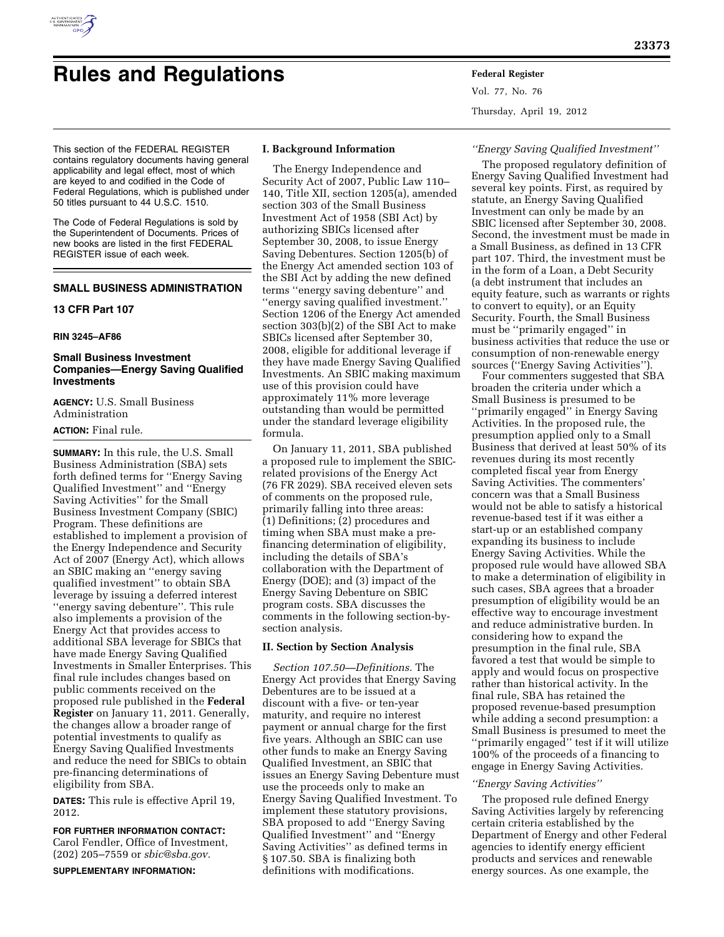

# **Rules and Regulations Federal Register**

Vol. 77, No. 76 Thursday, April 19, 2012

This section of the FEDERAL REGISTER contains regulatory documents having general applicability and legal effect, most of which are keyed to and codified in the Code of Federal Regulations, which is published under 50 titles pursuant to 44 U.S.C. 1510.

The Code of Federal Regulations is sold by the Superintendent of Documents. Prices of new books are listed in the first FEDERAL REGISTER issue of each week.

# **SMALL BUSINESS ADMINISTRATION**

## **13 CFR Part 107**

#### **RIN 3245–AF86**

## **Small Business Investment Companies—Energy Saving Qualified Investments**

**AGENCY:** U.S. Small Business Administration

## **ACTION:** Final rule.

**SUMMARY:** In this rule, the U.S. Small Business Administration (SBA) sets forth defined terms for ''Energy Saving Qualified Investment'' and ''Energy Saving Activities'' for the Small Business Investment Company (SBIC) Program. These definitions are established to implement a provision of the Energy Independence and Security Act of 2007 (Energy Act), which allows an SBIC making an ''energy saving qualified investment'' to obtain SBA leverage by issuing a deferred interest ''energy saving debenture''. This rule also implements a provision of the Energy Act that provides access to additional SBA leverage for SBICs that have made Energy Saving Qualified Investments in Smaller Enterprises. This final rule includes changes based on public comments received on the proposed rule published in the **Federal Register** on January 11, 2011. Generally, the changes allow a broader range of potential investments to qualify as Energy Saving Qualified Investments and reduce the need for SBICs to obtain pre-financing determinations of eligibility from SBA.

**DATES:** This rule is effective April 19, 2012.

## **FOR FURTHER INFORMATION CONTACT:**

Carol Fendler, Office of Investment, (202) 205–7559 or *[sbic@sba.gov.](mailto:sbic@sba.gov)* 

**SUPPLEMENTARY INFORMATION:** 

## **I. Background Information**

The Energy Independence and Security Act of 2007, Public Law 110– 140, Title XII, section 1205(a), amended section 303 of the Small Business Investment Act of 1958 (SBI Act) by authorizing SBICs licensed after September 30, 2008, to issue Energy Saving Debentures. Section 1205(b) of the Energy Act amended section 103 of the SBI Act by adding the new defined terms ''energy saving debenture'' and ''energy saving qualified investment.'' Section 1206 of the Energy Act amended section 303(b)(2) of the SBI Act to make SBICs licensed after September 30, 2008, eligible for additional leverage if they have made Energy Saving Qualified Investments. An SBIC making maximum use of this provision could have approximately 11% more leverage outstanding than would be permitted under the standard leverage eligibility formula.

On January 11, 2011, SBA published a proposed rule to implement the SBICrelated provisions of the Energy Act (76 FR 2029). SBA received eleven sets of comments on the proposed rule, primarily falling into three areas: (1) Definitions; (2) procedures and timing when SBA must make a prefinancing determination of eligibility, including the details of SBA's collaboration with the Department of Energy (DOE); and (3) impact of the Energy Saving Debenture on SBIC program costs. SBA discusses the comments in the following section-bysection analysis.

## **II. Section by Section Analysis**

*Section 107.50—Definitions.* The Energy Act provides that Energy Saving Debentures are to be issued at a discount with a five- or ten-year maturity, and require no interest payment or annual charge for the first five years. Although an SBIC can use other funds to make an Energy Saving Qualified Investment, an SBIC that issues an Energy Saving Debenture must use the proceeds only to make an Energy Saving Qualified Investment. To implement these statutory provisions, SBA proposed to add ''Energy Saving Qualified Investment'' and ''Energy Saving Activities'' as defined terms in § 107.50. SBA is finalizing both definitions with modifications.

#### *''Energy Saving Qualified Investment''*

The proposed regulatory definition of Energy Saving Qualified Investment had several key points. First, as required by statute, an Energy Saving Qualified Investment can only be made by an SBIC licensed after September 30, 2008. Second, the investment must be made in a Small Business, as defined in 13 CFR part 107. Third, the investment must be in the form of a Loan, a Debt Security (a debt instrument that includes an equity feature, such as warrants or rights to convert to equity), or an Equity Security. Fourth, the Small Business must be ''primarily engaged'' in business activities that reduce the use or consumption of non-renewable energy sources (''Energy Saving Activities'').

Four commenters suggested that SBA broaden the criteria under which a Small Business is presumed to be ''primarily engaged'' in Energy Saving Activities. In the proposed rule, the presumption applied only to a Small Business that derived at least 50% of its revenues during its most recently completed fiscal year from Energy Saving Activities. The commenters' concern was that a Small Business would not be able to satisfy a historical revenue-based test if it was either a start-up or an established company expanding its business to include Energy Saving Activities. While the proposed rule would have allowed SBA to make a determination of eligibility in such cases, SBA agrees that a broader presumption of eligibility would be an effective way to encourage investment and reduce administrative burden. In considering how to expand the presumption in the final rule, SBA favored a test that would be simple to apply and would focus on prospective rather than historical activity. In the final rule, SBA has retained the proposed revenue-based presumption while adding a second presumption: a Small Business is presumed to meet the ''primarily engaged'' test if it will utilize 100% of the proceeds of a financing to engage in Energy Saving Activities.

## *''Energy Saving Activities''*

The proposed rule defined Energy Saving Activities largely by referencing certain criteria established by the Department of Energy and other Federal agencies to identify energy efficient products and services and renewable energy sources. As one example, the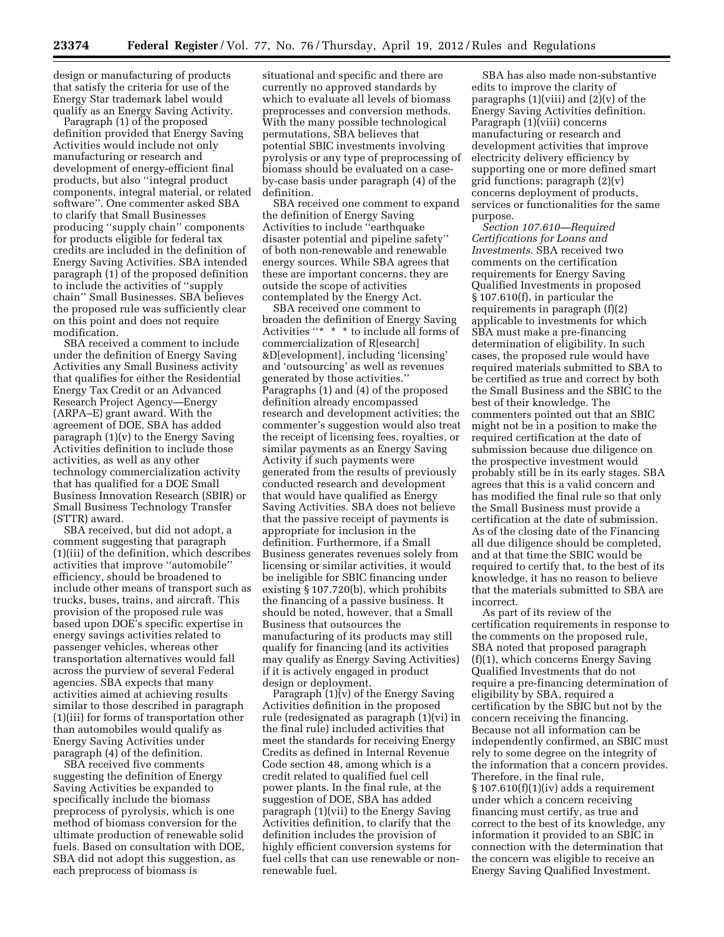design or manufacturing of products that satisfy the criteria for use of the Energy Star trademark label would qualify as an Energy Saving Activity.

Paragraph (1) of the proposed definition provided that Energy Saving Activities would include not only manufacturing or research and development of energy-efficient final products, but also ''integral product components, integral material, or related software''. One commenter asked SBA to clarify that Small Businesses producing ''supply chain'' components for products eligible for federal tax credits are included in the definition of Energy Saving Activities. SBA intended paragraph (1) of the proposed definition to include the activities of ''supply chain'' Small Businesses. SBA believes the proposed rule was sufficiently clear on this point and does not require modification.

SBA received a comment to include under the definition of Energy Saving Activities any Small Business activity that qualifies for either the Residential Energy Tax Credit or an Advanced Research Project Agency—Energy (ARPA–E) grant award. With the agreement of DOE, SBA has added paragraph (1)(v) to the Energy Saving Activities definition to include those activities, as well as any other technology commercialization activity that has qualified for a DOE Small Business Innovation Research (SBIR) or Small Business Technology Transfer (STTR) award.

SBA received, but did not adopt, a comment suggesting that paragraph (1)(iii) of the definition, which describes activities that improve ''automobile'' efficiency, should be broadened to include other means of transport such as trucks, buses, trains, and aircraft. This provision of the proposed rule was based upon DOE's specific expertise in energy savings activities related to passenger vehicles, whereas other transportation alternatives would fall across the purview of several Federal agencies. SBA expects that many activities aimed at achieving results similar to those described in paragraph (1)(iii) for forms of transportation other than automobiles would qualify as Energy Saving Activities under paragraph (4) of the definition.

SBA received five comments suggesting the definition of Energy Saving Activities be expanded to specifically include the biomass preprocess of pyrolysis, which is one method of biomass conversion for the ultimate production of renewable solid fuels. Based on consultation with DOE, SBA did not adopt this suggestion, as each preprocess of biomass is

situational and specific and there are currently no approved standards by which to evaluate all levels of biomass preprocesses and conversion methods. With the many possible technological permutations, SBA believes that potential SBIC investments involving pyrolysis or any type of preprocessing of biomass should be evaluated on a caseby-case basis under paragraph (4) of the definition.

SBA received one comment to expand the definition of Energy Saving Activities to include ''earthquake disaster potential and pipeline safety'' of both non-renewable and renewable energy sources. While SBA agrees that these are important concerns, they are outside the scope of activities contemplated by the Energy Act.

SBA received one comment to broaden the definition of Energy Saving Activities "\* \* \* to include all forms of commercialization of R[esearch] &D[evelopment], including 'licensing' and 'outsourcing' as well as revenues generated by those activities.'' Paragraphs (1) and (4) of the proposed definition already encompassed research and development activities; the commenter's suggestion would also treat the receipt of licensing fees, royalties, or similar payments as an Energy Saving Activity if such payments were generated from the results of previously conducted research and development that would have qualified as Energy Saving Activities. SBA does not believe that the passive receipt of payments is appropriate for inclusion in the definition. Furthermore, if a Small Business generates revenues solely from licensing or similar activities, it would be ineligible for SBIC financing under existing § 107.720(b), which prohibits the financing of a passive business. It should be noted, however, that a Small Business that outsources the manufacturing of its products may still qualify for financing (and its activities may qualify as Energy Saving Activities) if it is actively engaged in product design or deployment.

Paragraph  $(1)(v)$  of the Energy Saving Activities definition in the proposed rule (redesignated as paragraph (1)(vi) in the final rule) included activities that meet the standards for receiving Energy Credits as defined in Internal Revenue Code section 48, among which is a credit related to qualified fuel cell power plants. In the final rule, at the suggestion of DOE, SBA has added paragraph (1)(vii) to the Energy Saving Activities definition, to clarify that the definition includes the provision of highly efficient conversion systems for fuel cells that can use renewable or nonrenewable fuel.

SBA has also made non-substantive edits to improve the clarity of paragraphs  $(1)(viii)$  and  $(2)(v)$  of the Energy Saving Activities definition. Paragraph (1)(viii) concerns manufacturing or research and development activities that improve electricity delivery efficiency by supporting one or more defined smart grid functions; paragraph  $(2)(v)$ concerns deployment of products, services or functionalities for the same purpose.

*Section 107.610—Required Certifications for Loans and Investments.* SBA received two comments on the certification requirements for Energy Saving Qualified Investments in proposed § 107.610(f), in particular the requirements in paragraph (f)(2) applicable to investments for which SBA must make a pre-financing determination of eligibility. In such cases, the proposed rule would have required materials submitted to SBA to be certified as true and correct by both the Small Business and the SBIC to the best of their knowledge. The commenters pointed out that an SBIC might not be in a position to make the required certification at the date of submission because due diligence on the prospective investment would probably still be in its early stages. SBA agrees that this is a valid concern and has modified the final rule so that only the Small Business must provide a certification at the date of submission. As of the closing date of the Financing all due diligence should be completed, and at that time the SBIC would be required to certify that, to the best of its knowledge, it has no reason to believe that the materials submitted to SBA are incorrect.

As part of its review of the certification requirements in response to the comments on the proposed rule, SBA noted that proposed paragraph (f)(1), which concerns Energy Saving Qualified Investments that do not require a pre-financing determination of eligibility by SBA, required a certification by the SBIC but not by the concern receiving the financing. Because not all information can be independently confirmed, an SBIC must rely to some degree on the integrity of the information that a concern provides. Therefore, in the final rule, § 107.610(f)(1)(iv) adds a requirement under which a concern receiving financing must certify, as true and correct to the best of its knowledge, any information it provided to an SBIC in connection with the determination that the concern was eligible to receive an Energy Saving Qualified Investment.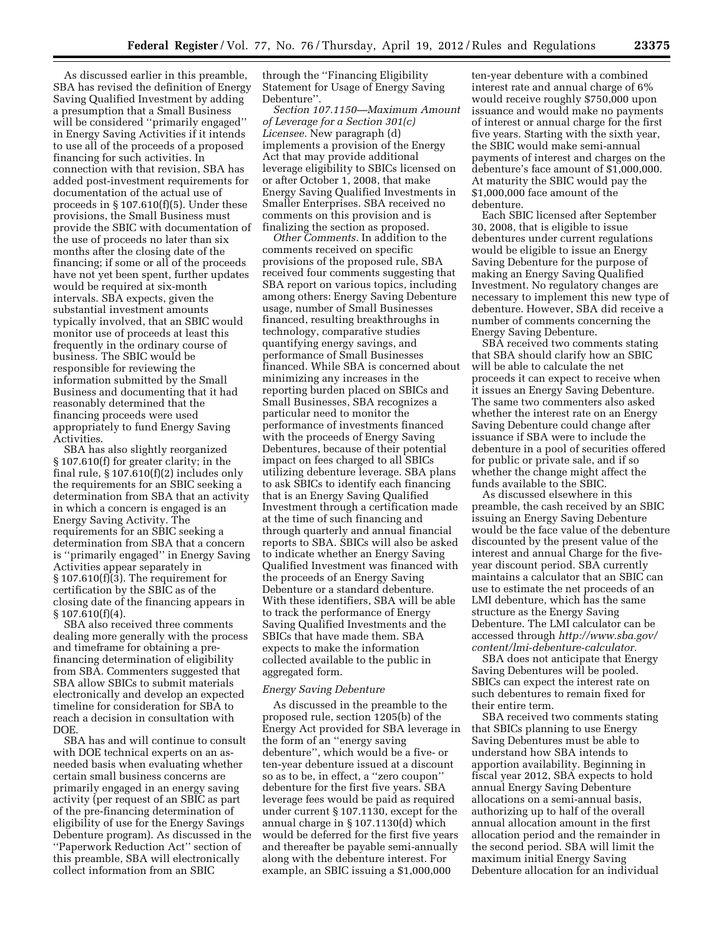As discussed earlier in this preamble, SBA has revised the definition of Energy Saving Qualified Investment by adding a presumption that a Small Business will be considered ''primarily engaged'' in Energy Saving Activities if it intends to use all of the proceeds of a proposed financing for such activities. In connection with that revision, SBA has added post-investment requirements for documentation of the actual use of proceeds in § 107.610(f)(5). Under these provisions, the Small Business must provide the SBIC with documentation of the use of proceeds no later than six months after the closing date of the financing; if some or all of the proceeds have not yet been spent, further updates would be required at six-month intervals. SBA expects, given the substantial investment amounts typically involved, that an SBIC would monitor use of proceeds at least this frequently in the ordinary course of business. The SBIC would be responsible for reviewing the information submitted by the Small Business and documenting that it had reasonably determined that the financing proceeds were used appropriately to fund Energy Saving Activities.

SBA has also slightly reorganized § 107.610(f) for greater clarity; in the final rule,  $\S 107.610(f)(2)$  includes only the requirements for an SBIC seeking a determination from SBA that an activity in which a concern is engaged is an Energy Saving Activity. The requirements for an SBIC seeking a determination from SBA that a concern is ''primarily engaged'' in Energy Saving Activities appear separately in  $§ 107.610(f)(3)$ . The requirement for certification by the SBIC as of the closing date of the financing appears in  $\S 107.610(f)(4)$ .

SBA also received three comments dealing more generally with the process and timeframe for obtaining a prefinancing determination of eligibility from SBA. Commenters suggested that SBA allow SBICs to submit materials electronically and develop an expected timeline for consideration for SBA to reach a decision in consultation with DOE.

SBA has and will continue to consult with DOE technical experts on an asneeded basis when evaluating whether certain small business concerns are primarily engaged in an energy saving activity (per request of an SBIC as part of the pre-financing determination of eligibility of use for the Energy Savings Debenture program). As discussed in the ''Paperwork Reduction Act'' section of this preamble, SBA will electronically collect information from an SBIC

through the ''Financing Eligibility Statement for Usage of Energy Saving Debenture''.

*Section 107.1150—Maximum Amount of Leverage for a Section 301(c) Licensee.* New paragraph (d) implements a provision of the Energy Act that may provide additional leverage eligibility to SBICs licensed on or after October 1, 2008, that make Energy Saving Qualified Investments in Smaller Enterprises. SBA received no comments on this provision and is finalizing the section as proposed.

*Other Comments.* In addition to the comments received on specific provisions of the proposed rule, SBA received four comments suggesting that SBA report on various topics, including among others: Energy Saving Debenture usage, number of Small Businesses financed, resulting breakthroughs in technology, comparative studies quantifying energy savings, and performance of Small Businesses financed. While SBA is concerned about minimizing any increases in the reporting burden placed on SBICs and Small Businesses, SBA recognizes a particular need to monitor the performance of investments financed with the proceeds of Energy Saving Debentures, because of their potential impact on fees charged to all SBICs utilizing debenture leverage. SBA plans to ask SBICs to identify each financing that is an Energy Saving Qualified Investment through a certification made at the time of such financing and through quarterly and annual financial reports to SBA. SBICs will also be asked to indicate whether an Energy Saving Qualified Investment was financed with the proceeds of an Energy Saving Debenture or a standard debenture. With these identifiers, SBA will be able to track the performance of Energy Saving Qualified Investments and the SBICs that have made them. SBA expects to make the information collected available to the public in aggregated form.

## *Energy Saving Debenture*

As discussed in the preamble to the proposed rule, section 1205(b) of the Energy Act provided for SBA leverage in the form of an ''energy saving debenture'', which would be a five- or ten-year debenture issued at a discount so as to be, in effect, a ''zero coupon'' debenture for the first five years. SBA leverage fees would be paid as required under current § 107.1130, except for the annual charge in § 107.1130(d) which would be deferred for the first five years and thereafter be payable semi-annually along with the debenture interest. For example, an SBIC issuing a \$1,000,000

ten-year debenture with a combined interest rate and annual charge of 6% would receive roughly \$750,000 upon issuance and would make no payments of interest or annual charge for the first five years. Starting with the sixth year, the SBIC would make semi-annual payments of interest and charges on the debenture's face amount of \$1,000,000. At maturity the SBIC would pay the \$1,000,000 face amount of the debenture.

Each SBIC licensed after September 30, 2008, that is eligible to issue debentures under current regulations would be eligible to issue an Energy Saving Debenture for the purpose of making an Energy Saving Qualified Investment. No regulatory changes are necessary to implement this new type of debenture. However, SBA did receive a number of comments concerning the Energy Saving Debenture.

SBA received two comments stating that SBA should clarify how an SBIC will be able to calculate the net proceeds it can expect to receive when it issues an Energy Saving Debenture. The same two commenters also asked whether the interest rate on an Energy Saving Debenture could change after issuance if SBA were to include the debenture in a pool of securities offered for public or private sale, and if so whether the change might affect the funds available to the SBIC.

As discussed elsewhere in this preamble, the cash received by an SBIC issuing an Energy Saving Debenture would be the face value of the debenture discounted by the present value of the interest and annual Charge for the fiveyear discount period. SBA currently maintains a calculator that an SBIC can use to estimate the net proceeds of an LMI debenture, which has the same structure as the Energy Saving Debenture. The LMI calculator can be accessed through *[http://www.sba.gov/](http://www.sba.gov/content/lmi-debenture-calculator) [content/lmi-debenture-calculator.](http://www.sba.gov/content/lmi-debenture-calculator)* 

SBA does not anticipate that Energy Saving Debentures will be pooled. SBICs can expect the interest rate on such debentures to remain fixed for their entire term.

SBA received two comments stating that SBICs planning to use Energy Saving Debentures must be able to understand how SBA intends to apportion availability. Beginning in fiscal year 2012, SBA expects to hold annual Energy Saving Debenture allocations on a semi-annual basis, authorizing up to half of the overall annual allocation amount in the first allocation period and the remainder in the second period. SBA will limit the maximum initial Energy Saving Debenture allocation for an individual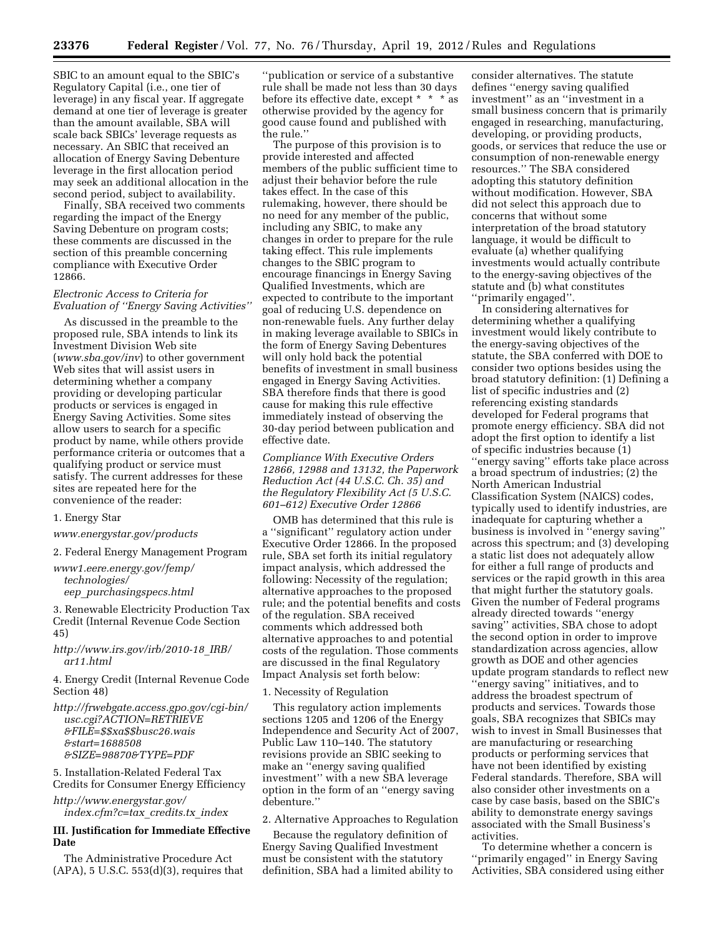SBIC to an amount equal to the SBIC's Regulatory Capital (i.e., one tier of leverage) in any fiscal year. If aggregate demand at one tier of leverage is greater than the amount available, SBA will scale back SBICs' leverage requests as necessary. An SBIC that received an allocation of Energy Saving Debenture leverage in the first allocation period may seek an additional allocation in the second period, subject to availability.

Finally, SBA received two comments regarding the impact of the Energy Saving Debenture on program costs; these comments are discussed in the section of this preamble concerning compliance with Executive Order 12866.

## *Electronic Access to Criteria for Evaluation of ''Energy Saving Activities''*

As discussed in the preamble to the proposed rule, SBA intends to link its Investment Division Web site (*[www.sba.gov/inv](http://www.sba.gov/inv)*) to other government Web sites that will assist users in determining whether a company providing or developing particular products or services is engaged in Energy Saving Activities. Some sites allow users to search for a specific product by name, while others provide performance criteria or outcomes that a qualifying product or service must satisfy. The current addresses for these sites are repeated here for the convenience of the reader:

#### 1. Energy Star

*[www.energystar.gov/products](http://www.energystar.gov/products)* 

2. Federal Energy Management Program

*[www1.eere.energy.gov/femp/](http://www1.eere.energy.gov/femp/technologies/eep_purchasingspecs.html) [technologies/](http://www1.eere.energy.gov/femp/technologies/eep_purchasingspecs.html) eep*\_*[purchasingspecs.html](http://www1.eere.energy.gov/femp/technologies/eep_purchasingspecs.html)* 

3. Renewable Electricity Production Tax Credit (Internal Revenue Code Section 45)

*[http://www.irs.gov/irb/2010-18](http://www.irs.gov/irb/2010-18_IRB/ar11.html)*\_*IRB/ [ar11.html](http://www.irs.gov/irb/2010-18_IRB/ar11.html)* 

4. Energy Credit (Internal Revenue Code Section 48)

*[http://frwebgate.access.gpo.gov/cgi-bin/](http://frwebgate.access.gpo.gov/cgi-bin/usc.cgi?ACTION=RETRIEVE&FILE=$$xa$$busc26.wais&start=1688508&SIZE=98870&TYPE=PDF)  [usc.cgi?ACTION=RETRIEVE](http://frwebgate.access.gpo.gov/cgi-bin/usc.cgi?ACTION=RETRIEVE&FILE=$$xa$$busc26.wais&start=1688508&SIZE=98870&TYPE=PDF) [&FILE=\\$\\$xa\\$\\$busc26.wais](http://frwebgate.access.gpo.gov/cgi-bin/usc.cgi?ACTION=RETRIEVE&FILE=$$xa$$busc26.wais&start=1688508&SIZE=98870&TYPE=PDF) [&start=1688508](http://frwebgate.access.gpo.gov/cgi-bin/usc.cgi?ACTION=RETRIEVE&FILE=$$xa$$busc26.wais&start=1688508&SIZE=98870&TYPE=PDF) [&SIZE=98870&TYPE=PDF](http://frwebgate.access.gpo.gov/cgi-bin/usc.cgi?ACTION=RETRIEVE&FILE=$$xa$$busc26.wais&start=1688508&SIZE=98870&TYPE=PDF)* 

5. Installation-Related Federal Tax Credits for Consumer Energy Efficiency

*[http://www.energystar.gov/](http://www.energystar.gov/index.cfm?c=tax_credits.tx_index) [index.cfm?c=tax](http://www.energystar.gov/index.cfm?c=tax_credits.tx_index)*\_*credits.tx*\_*index* 

## **III. Justification for Immediate Effective Date**

The Administrative Procedure Act  $(APA)$ , 5 U.S.C. 553 $(d)(3)$ , requires that

''publication or service of a substantive rule shall be made not less than 30 days before its effective date, except \* \* \* as otherwise provided by the agency for good cause found and published with the rule.''

The purpose of this provision is to provide interested and affected members of the public sufficient time to adjust their behavior before the rule takes effect. In the case of this rulemaking, however, there should be no need for any member of the public, including any SBIC, to make any changes in order to prepare for the rule taking effect. This rule implements changes to the SBIC program to encourage financings in Energy Saving Qualified Investments, which are expected to contribute to the important goal of reducing U.S. dependence on non-renewable fuels. Any further delay in making leverage available to SBICs in the form of Energy Saving Debentures will only hold back the potential benefits of investment in small business engaged in Energy Saving Activities. SBA therefore finds that there is good cause for making this rule effective immediately instead of observing the 30-day period between publication and effective date.

*Compliance With Executive Orders 12866, 12988 and 13132, the Paperwork Reduction Act (44 U.S.C. Ch. 35) and the Regulatory Flexibility Act (5 U.S.C. 601–612) Executive Order 12866* 

OMB has determined that this rule is a ''significant'' regulatory action under Executive Order 12866. In the proposed rule, SBA set forth its initial regulatory impact analysis, which addressed the following: Necessity of the regulation; alternative approaches to the proposed rule; and the potential benefits and costs of the regulation. SBA received comments which addressed both alternative approaches to and potential costs of the regulation. Those comments are discussed in the final Regulatory Impact Analysis set forth below:

## 1. Necessity of Regulation

This regulatory action implements sections 1205 and 1206 of the Energy Independence and Security Act of 2007, Public Law 110–140. The statutory revisions provide an SBIC seeking to make an ''energy saving qualified investment'' with a new SBA leverage option in the form of an ''energy saving debenture.''

2. Alternative Approaches to Regulation

Because the regulatory definition of Energy Saving Qualified Investment must be consistent with the statutory definition, SBA had a limited ability to

consider alternatives. The statute defines ''energy saving qualified investment'' as an ''investment in a small business concern that is primarily engaged in researching, manufacturing, developing, or providing products, goods, or services that reduce the use or consumption of non-renewable energy resources.'' The SBA considered adopting this statutory definition without modification. However, SBA did not select this approach due to concerns that without some interpretation of the broad statutory language, it would be difficult to evaluate (a) whether qualifying investments would actually contribute to the energy-saving objectives of the statute and (b) what constitutes ''primarily engaged''.

In considering alternatives for determining whether a qualifying investment would likely contribute to the energy-saving objectives of the statute, the SBA conferred with DOE to consider two options besides using the broad statutory definition: (1) Defining a list of specific industries and (2) referencing existing standards developed for Federal programs that promote energy efficiency. SBA did not adopt the first option to identify a list of specific industries because (1) ''energy saving'' efforts take place across a broad spectrum of industries; (2) the North American Industrial Classification System (NAICS) codes, typically used to identify industries, are inadequate for capturing whether a business is involved in ''energy saving'' across this spectrum; and (3) developing a static list does not adequately allow for either a full range of products and services or the rapid growth in this area that might further the statutory goals. Given the number of Federal programs already directed towards ''energy saving'' activities, SBA chose to adopt the second option in order to improve standardization across agencies, allow growth as DOE and other agencies update program standards to reflect new ''energy saving'' initiatives, and to address the broadest spectrum of products and services. Towards those goals, SBA recognizes that SBICs may wish to invest in Small Businesses that are manufacturing or researching products or performing services that have not been identified by existing Federal standards. Therefore, SBA will also consider other investments on a case by case basis, based on the SBIC's ability to demonstrate energy savings associated with the Small Business's activities.

To determine whether a concern is ''primarily engaged'' in Energy Saving Activities, SBA considered using either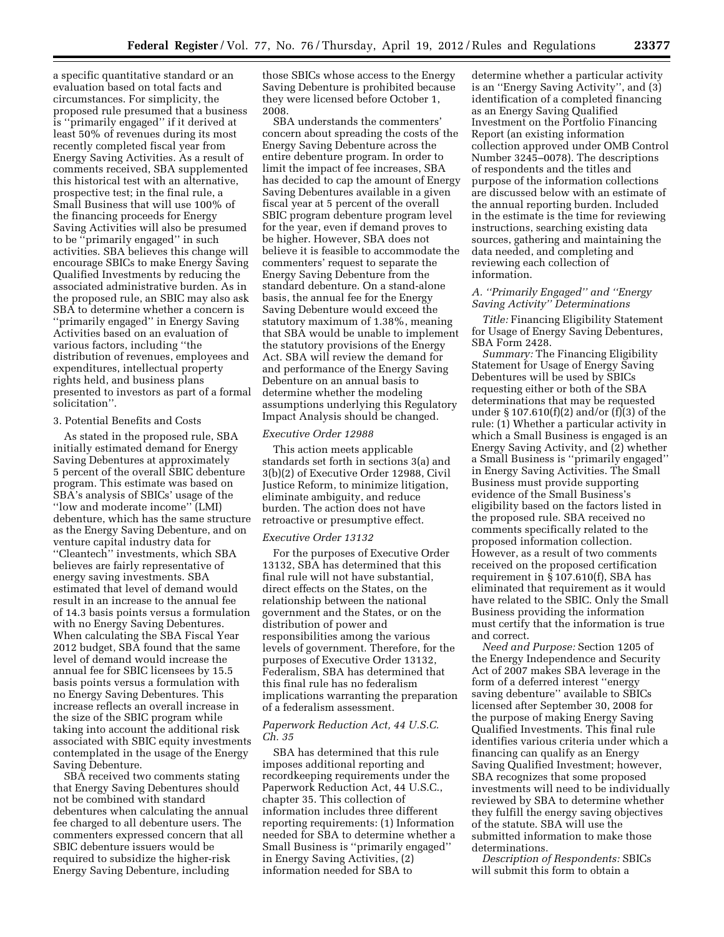a specific quantitative standard or an evaluation based on total facts and circumstances. For simplicity, the proposed rule presumed that a business is ''primarily engaged'' if it derived at least 50% of revenues during its most recently completed fiscal year from Energy Saving Activities. As a result of comments received, SBA supplemented this historical test with an alternative, prospective test; in the final rule, a Small Business that will use 100% of the financing proceeds for Energy Saving Activities will also be presumed to be ''primarily engaged'' in such activities. SBA believes this change will encourage SBICs to make Energy Saving Qualified Investments by reducing the associated administrative burden. As in the proposed rule, an SBIC may also ask SBA to determine whether a concern is ''primarily engaged'' in Energy Saving Activities based on an evaluation of various factors, including ''the distribution of revenues, employees and expenditures, intellectual property rights held, and business plans presented to investors as part of a formal solicitation''.

#### 3. Potential Benefits and Costs

As stated in the proposed rule, SBA initially estimated demand for Energy Saving Debentures at approximately 5 percent of the overall SBIC debenture program. This estimate was based on SBA's analysis of SBICs' usage of the ''low and moderate income'' (LMI) debenture, which has the same structure as the Energy Saving Debenture, and on venture capital industry data for ''Cleantech'' investments, which SBA believes are fairly representative of energy saving investments. SBA estimated that level of demand would result in an increase to the annual fee of 14.3 basis points versus a formulation with no Energy Saving Debentures. When calculating the SBA Fiscal Year 2012 budget, SBA found that the same level of demand would increase the annual fee for SBIC licensees by 15.5 basis points versus a formulation with no Energy Saving Debentures. This increase reflects an overall increase in the size of the SBIC program while taking into account the additional risk associated with SBIC equity investments contemplated in the usage of the Energy Saving Debenture.

SBA received two comments stating that Energy Saving Debentures should not be combined with standard debentures when calculating the annual fee charged to all debenture users. The commenters expressed concern that all SBIC debenture issuers would be required to subsidize the higher-risk Energy Saving Debenture, including

those SBICs whose access to the Energy Saving Debenture is prohibited because they were licensed before October 1, 2008.

SBA understands the commenters' concern about spreading the costs of the Energy Saving Debenture across the entire debenture program. In order to limit the impact of fee increases, SBA has decided to cap the amount of Energy Saving Debentures available in a given fiscal year at 5 percent of the overall SBIC program debenture program level for the year, even if demand proves to be higher. However, SBA does not believe it is feasible to accommodate the commenters' request to separate the Energy Saving Debenture from the standard debenture. On a stand-alone basis, the annual fee for the Energy Saving Debenture would exceed the statutory maximum of 1.38%, meaning that SBA would be unable to implement the statutory provisions of the Energy Act. SBA will review the demand for and performance of the Energy Saving Debenture on an annual basis to determine whether the modeling assumptions underlying this Regulatory Impact Analysis should be changed.

## *Executive Order 12988*

This action meets applicable standards set forth in sections 3(a) and 3(b)(2) of Executive Order 12988, Civil Justice Reform, to minimize litigation, eliminate ambiguity, and reduce burden. The action does not have retroactive or presumptive effect.

#### *Executive Order 13132*

For the purposes of Executive Order 13132, SBA has determined that this final rule will not have substantial, direct effects on the States, on the relationship between the national government and the States, or on the distribution of power and responsibilities among the various levels of government. Therefore, for the purposes of Executive Order 13132, Federalism, SBA has determined that this final rule has no federalism implications warranting the preparation of a federalism assessment.

#### *Paperwork Reduction Act, 44 U.S.C. Ch. 35*

SBA has determined that this rule imposes additional reporting and recordkeeping requirements under the Paperwork Reduction Act, 44 U.S.C., chapter 35. This collection of information includes three different reporting requirements: (1) Information needed for SBA to determine whether a Small Business is ''primarily engaged'' in Energy Saving Activities, (2) information needed for SBA to

determine whether a particular activity is an ''Energy Saving Activity'', and (3) identification of a completed financing as an Energy Saving Qualified Investment on the Portfolio Financing Report (an existing information collection approved under OMB Control Number 3245–0078). The descriptions of respondents and the titles and purpose of the information collections are discussed below with an estimate of the annual reporting burden. Included in the estimate is the time for reviewing instructions, searching existing data sources, gathering and maintaining the data needed, and completing and reviewing each collection of information.

## *A. ''Primarily Engaged'' and ''Energy Saving Activity'' Determinations*

*Title:* Financing Eligibility Statement for Usage of Energy Saving Debentures, SBA Form 2428.

*Summary:* The Financing Eligibility Statement for Usage of Energy Saving Debentures will be used by SBICs requesting either or both of the SBA determinations that may be requested under § 107.610(f)(2) and/or (f)(3) of the rule: (1) Whether a particular activity in which a Small Business is engaged is an Energy Saving Activity, and (2) whether a Small Business is ''primarily engaged'' in Energy Saving Activities. The Small Business must provide supporting evidence of the Small Business's eligibility based on the factors listed in the proposed rule. SBA received no comments specifically related to the proposed information collection. However, as a result of two comments received on the proposed certification requirement in § 107.610(f), SBA has eliminated that requirement as it would have related to the SBIC. Only the Small Business providing the information must certify that the information is true and correct.

*Need and Purpose:* Section 1205 of the Energy Independence and Security Act of 2007 makes SBA leverage in the form of a deferred interest ''energy saving debenture'' available to SBICs licensed after September 30, 2008 for the purpose of making Energy Saving Qualified Investments. This final rule identifies various criteria under which a financing can qualify as an Energy Saving Qualified Investment; however, SBA recognizes that some proposed investments will need to be individually reviewed by SBA to determine whether they fulfill the energy saving objectives of the statute. SBA will use the submitted information to make those determinations.

*Description of Respondents:* SBICs will submit this form to obtain a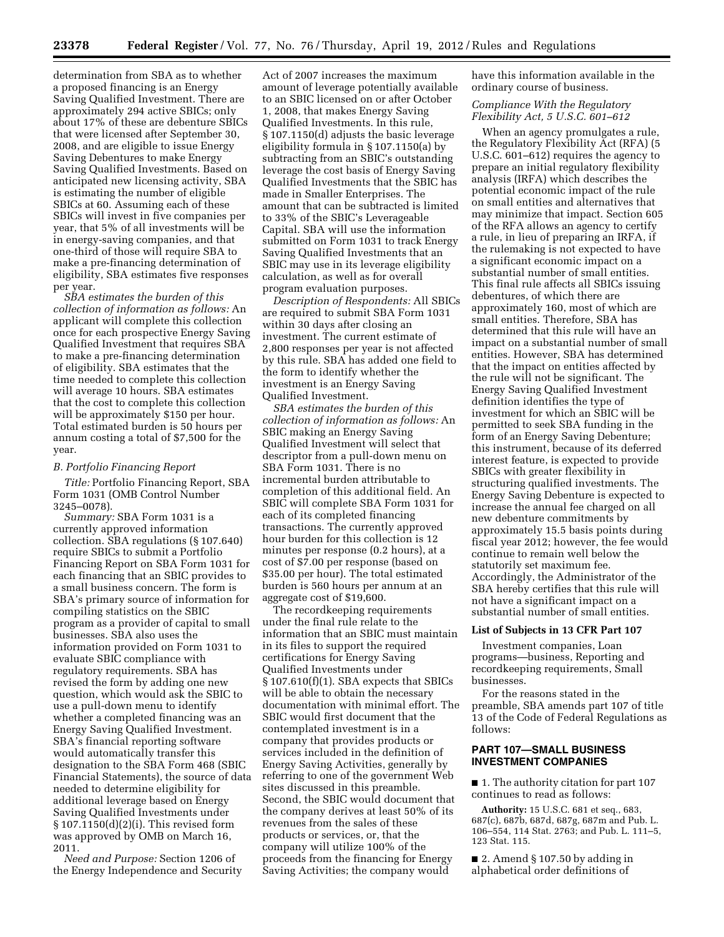determination from SBA as to whether a proposed financing is an Energy Saving Qualified Investment. There are approximately 294 active SBICs; only about 17% of these are debenture SBICs that were licensed after September 30, 2008, and are eligible to issue Energy Saving Debentures to make Energy Saving Qualified Investments. Based on anticipated new licensing activity, SBA is estimating the number of eligible SBICs at 60. Assuming each of these SBICs will invest in five companies per year, that 5% of all investments will be in energy-saving companies, and that one-third of those will require SBA to make a pre-financing determination of eligibility, SBA estimates five responses per year.

*SBA estimates the burden of this collection of information as follows:* An applicant will complete this collection once for each prospective Energy Saving Qualified Investment that requires SBA to make a pre-financing determination of eligibility. SBA estimates that the time needed to complete this collection will average 10 hours. SBA estimates that the cost to complete this collection will be approximately \$150 per hour. Total estimated burden is 50 hours per annum costing a total of \$7,500 for the year.

#### *B. Portfolio Financing Report*

*Title:* Portfolio Financing Report, SBA Form 1031 (OMB Control Number 3245–0078).

*Summary:* SBA Form 1031 is a currently approved information collection. SBA regulations (§ 107.640) require SBICs to submit a Portfolio Financing Report on SBA Form 1031 for each financing that an SBIC provides to a small business concern. The form is SBA's primary source of information for compiling statistics on the SBIC program as a provider of capital to small businesses. SBA also uses the information provided on Form 1031 to evaluate SBIC compliance with regulatory requirements. SBA has revised the form by adding one new question, which would ask the SBIC to use a pull-down menu to identify whether a completed financing was an Energy Saving Qualified Investment. SBA's financial reporting software would automatically transfer this designation to the SBA Form 468 (SBIC Financial Statements), the source of data needed to determine eligibility for additional leverage based on Energy Saving Qualified Investments under § 107.1150(d)(2)(i). This revised form was approved by OMB on March 16, 2011.

*Need and Purpose:* Section 1206 of the Energy Independence and Security

Act of 2007 increases the maximum amount of leverage potentially available to an SBIC licensed on or after October 1, 2008, that makes Energy Saving Qualified Investments. In this rule, § 107.1150(d) adjusts the basic leverage eligibility formula in § 107.1150(a) by subtracting from an SBIC's outstanding leverage the cost basis of Energy Saving Qualified Investments that the SBIC has made in Smaller Enterprises. The amount that can be subtracted is limited to 33% of the SBIC's Leverageable Capital. SBA will use the information submitted on Form 1031 to track Energy Saving Qualified Investments that an SBIC may use in its leverage eligibility calculation, as well as for overall program evaluation purposes.

*Description of Respondents:* All SBICs are required to submit SBA Form 1031 within 30 days after closing an investment. The current estimate of 2,800 responses per year is not affected by this rule. SBA has added one field to the form to identify whether the investment is an Energy Saving Qualified Investment.

*SBA estimates the burden of this collection of information as follows:* An SBIC making an Energy Saving Qualified Investment will select that descriptor from a pull-down menu on SBA Form 1031. There is no incremental burden attributable to completion of this additional field. An SBIC will complete SBA Form 1031 for each of its completed financing transactions. The currently approved hour burden for this collection is 12 minutes per response (0.2 hours), at a cost of \$7.00 per response (based on \$35.00 per hour). The total estimated burden is 560 hours per annum at an aggregate cost of \$19,600.

The recordkeeping requirements under the final rule relate to the information that an SBIC must maintain in its files to support the required certifications for Energy Saving Qualified Investments under § 107.610(f)(1). SBA expects that SBICs will be able to obtain the necessary documentation with minimal effort. The SBIC would first document that the contemplated investment is in a company that provides products or services included in the definition of Energy Saving Activities, generally by referring to one of the government Web sites discussed in this preamble. Second, the SBIC would document that the company derives at least 50% of its revenues from the sales of these products or services, or, that the company will utilize 100% of the proceeds from the financing for Energy Saving Activities; the company would

have this information available in the ordinary course of business.

## *Compliance With the Regulatory Flexibility Act, 5 U.S.C. 601–612*

When an agency promulgates a rule, the Regulatory Flexibility Act (RFA) (5 U.S.C. 601–612) requires the agency to prepare an initial regulatory flexibility analysis (IRFA) which describes the potential economic impact of the rule on small entities and alternatives that may minimize that impact. Section 605 of the RFA allows an agency to certify a rule, in lieu of preparing an IRFA, if the rulemaking is not expected to have a significant economic impact on a substantial number of small entities. This final rule affects all SBICs issuing debentures, of which there are approximately 160, most of which are small entities. Therefore, SBA has determined that this rule will have an impact on a substantial number of small entities. However, SBA has determined that the impact on entities affected by the rule will not be significant. The Energy Saving Qualified Investment definition identifies the type of investment for which an SBIC will be permitted to seek SBA funding in the form of an Energy Saving Debenture; this instrument, because of its deferred interest feature, is expected to provide SBICs with greater flexibility in structuring qualified investments. The Energy Saving Debenture is expected to increase the annual fee charged on all new debenture commitments by approximately 15.5 basis points during fiscal year 2012; however, the fee would continue to remain well below the statutorily set maximum fee. Accordingly, the Administrator of the SBA hereby certifies that this rule will not have a significant impact on a substantial number of small entities.

#### **List of Subjects in 13 CFR Part 107**

Investment companies, Loan programs—business, Reporting and recordkeeping requirements, Small businesses.

For the reasons stated in the preamble, SBA amends part 107 of title 13 of the Code of Federal Regulations as follows:

## **PART 107—SMALL BUSINESS INVESTMENT COMPANIES**

■ 1. The authority citation for part 107 continues to read as follows:

**Authority:** 15 U.S.C. 681 et seq., 683, 687(c), 687b, 687d, 687g, 687m and Pub. L. 106–554, 114 Stat. 2763; and Pub. L. 111–5, 123 Stat. 115.

 $\blacksquare$  2. Amend § 107.50 by adding in alphabetical order definitions of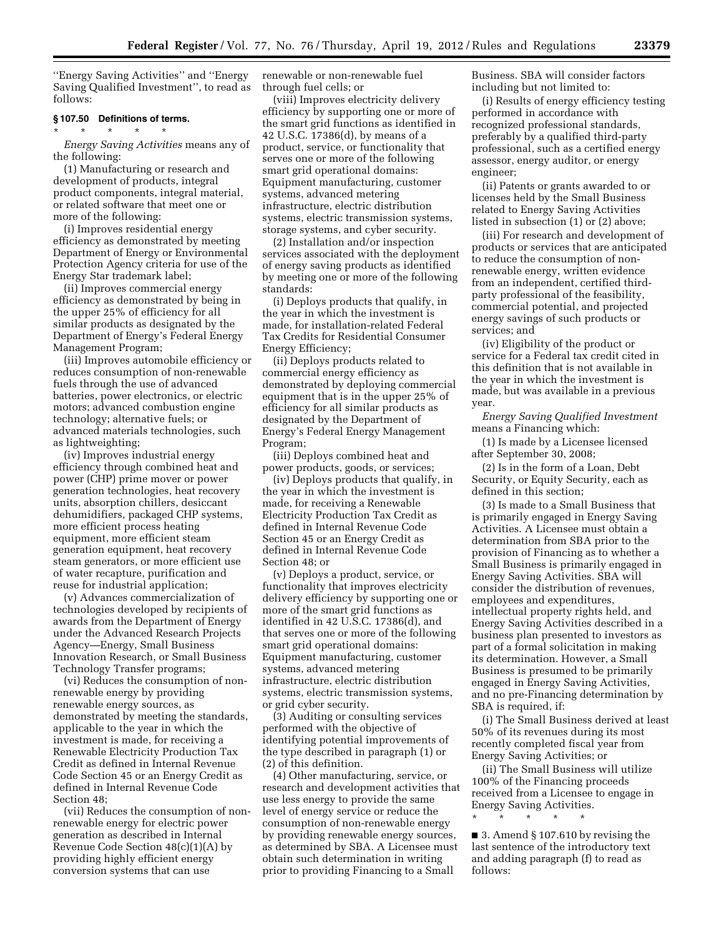''Energy Saving Activities'' and ''Energy Saving Qualified Investment'', to read as follows:

## **§ 107.50 Definitions of terms.**

\* \* \* \* \*

*Energy Saving Activities* means any of the following:

(1) Manufacturing or research and development of products, integral product components, integral material, or related software that meet one or more of the following:

(i) Improves residential energy efficiency as demonstrated by meeting Department of Energy or Environmental Protection Agency criteria for use of the Energy Star trademark label;

(ii) Improves commercial energy efficiency as demonstrated by being in the upper 25% of efficiency for all similar products as designated by the Department of Energy's Federal Energy Management Program;

(iii) Improves automobile efficiency or reduces consumption of non-renewable fuels through the use of advanced batteries, power electronics, or electric motors; advanced combustion engine technology; alternative fuels; or advanced materials technologies, such as lightweighting;

(iv) Improves industrial energy efficiency through combined heat and power (CHP) prime mover or power generation technologies, heat recovery units, absorption chillers, desiccant dehumidifiers, packaged CHP systems, more efficient process heating equipment, more efficient steam generation equipment, heat recovery steam generators, or more efficient use of water recapture, purification and reuse for industrial application;

(v) Advances commercialization of technologies developed by recipients of awards from the Department of Energy under the Advanced Research Projects Agency—Energy, Small Business Innovation Research, or Small Business Technology Transfer programs;

(vi) Reduces the consumption of nonrenewable energy by providing renewable energy sources, as demonstrated by meeting the standards, applicable to the year in which the investment is made, for receiving a Renewable Electricity Production Tax Credit as defined in Internal Revenue Code Section 45 or an Energy Credit as defined in Internal Revenue Code Section 48;

(vii) Reduces the consumption of nonrenewable energy for electric power generation as described in Internal Revenue Code Section 48(c)(1)(A) by providing highly efficient energy conversion systems that can use

renewable or non-renewable fuel through fuel cells; or

(viii) Improves electricity delivery efficiency by supporting one or more of the smart grid functions as identified in 42 U.S.C. 17386(d), by means of a product, service, or functionality that serves one or more of the following smart grid operational domains: Equipment manufacturing, customer systems, advanced metering infrastructure, electric distribution systems, electric transmission systems, storage systems, and cyber security.

(2) Installation and/or inspection services associated with the deployment of energy saving products as identified by meeting one or more of the following standards:

(i) Deploys products that qualify, in the year in which the investment is made, for installation-related Federal Tax Credits for Residential Consumer Energy Efficiency;

(ii) Deploys products related to commercial energy efficiency as demonstrated by deploying commercial equipment that is in the upper 25% of efficiency for all similar products as designated by the Department of Energy's Federal Energy Management Program;

(iii) Deploys combined heat and power products, goods, or services;

(iv) Deploys products that qualify, in the year in which the investment is made, for receiving a Renewable Electricity Production Tax Credit as defined in Internal Revenue Code Section 45 or an Energy Credit as defined in Internal Revenue Code Section 48; or

(v) Deploys a product, service, or functionality that improves electricity delivery efficiency by supporting one or more of the smart grid functions as identified in 42 U.S.C. 17386(d), and that serves one or more of the following smart grid operational domains: Equipment manufacturing, customer systems, advanced metering infrastructure, electric distribution systems, electric transmission systems, or grid cyber security.

(3) Auditing or consulting services performed with the objective of identifying potential improvements of the type described in paragraph (1) or (2) of this definition.

(4) Other manufacturing, service, or research and development activities that use less energy to provide the same level of energy service or reduce the consumption of non-renewable energy by providing renewable energy sources, as determined by SBA. A Licensee must obtain such determination in writing prior to providing Financing to a Small

Business. SBA will consider factors including but not limited to:

(i) Results of energy efficiency testing performed in accordance with recognized professional standards, preferably by a qualified third-party professional, such as a certified energy assessor, energy auditor, or energy engineer;

(ii) Patents or grants awarded to or licenses held by the Small Business related to Energy Saving Activities listed in subsection (1) or (2) above;

(iii) For research and development of products or services that are anticipated to reduce the consumption of nonrenewable energy, written evidence from an independent, certified thirdparty professional of the feasibility, commercial potential, and projected energy savings of such products or services; and

(iv) Eligibility of the product or service for a Federal tax credit cited in this definition that is not available in the year in which the investment is made, but was available in a previous year.

*Energy Saving Qualified Investment*  means a Financing which:

(1) Is made by a Licensee licensed after September 30, 2008;

(2) Is in the form of a Loan, Debt Security, or Equity Security, each as defined in this section;

(3) Is made to a Small Business that is primarily engaged in Energy Saving Activities. A Licensee must obtain a determination from SBA prior to the provision of Financing as to whether a Small Business is primarily engaged in Energy Saving Activities. SBA will consider the distribution of revenues, employees and expenditures, intellectual property rights held, and Energy Saving Activities described in a business plan presented to investors as part of a formal solicitation in making its determination. However, a Small Business is presumed to be primarily engaged in Energy Saving Activities, and no pre-Financing determination by SBA is required, if:

(i) The Small Business derived at least 50% of its revenues during its most recently completed fiscal year from Energy Saving Activities; or

(ii) The Small Business will utilize 100% of the Financing proceeds received from a Licensee to engage in Energy Saving Activities.

■ 3. Amend § 107.610 by revising the last sentence of the introductory text and adding paragraph (f) to read as follows:

\* \* \* \* \*